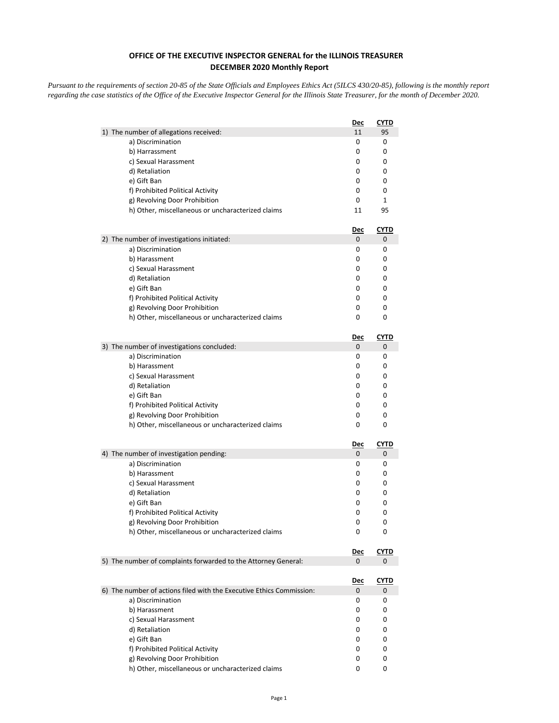## **OFFICE OF THE EXECUTIVE INSPECTOR GENERAL for the ILLINOIS TREASURER DECEMBER 2020 Monthly Report**

*Pursuant to the requirements of section 20-85 of the State Officials and Employees Ethics Act (5ILCS 430/20-85), following is the monthly report regarding the case statistics of the Office of the Executive Inspector General for the Illinois State Treasurer, for the month of December 2020.* 

|                                                                      | Dec        | CYTD         |
|----------------------------------------------------------------------|------------|--------------|
| 1) The number of allegations received:                               | 11         | 95           |
| a) Discrimination                                                    | 0          | 0            |
| b) Harrassment                                                       | 0          | 0            |
| c) Sexual Harassment                                                 | 0          | 0            |
| d) Retaliation                                                       | 0          | 0            |
| e) Gift Ban                                                          | 0          | 0            |
| f) Prohibited Political Activity                                     | 0          | 0            |
| g) Revolving Door Prohibition                                        | 0          | $\mathbf{1}$ |
| h) Other, miscellaneous or uncharacterized claims                    | 11         | 95           |
|                                                                      | <u>Dec</u> | <u>CYTD</u>  |
| 2) The number of investigations initiated:                           | 0          | 0            |
| a) Discrimination                                                    | 0          | 0            |
| b) Harassment                                                        | 0          | 0            |
| c) Sexual Harassment                                                 | 0          | 0            |
| d) Retaliation                                                       | 0          | 0            |
| e) Gift Ban                                                          | 0          | 0            |
| f) Prohibited Political Activity                                     | 0          | 0            |
| g) Revolving Door Prohibition                                        | 0          | 0            |
| h) Other, miscellaneous or uncharacterized claims                    | 0          | 0            |
|                                                                      | <u>Dec</u> | <b>CYTD</b>  |
| 3) The number of investigations concluded:                           | 0          | 0            |
| a) Discrimination                                                    | 0          | 0            |
| b) Harassment                                                        | 0          | 0            |
| c) Sexual Harassment                                                 | 0          | 0            |
| d) Retaliation                                                       | 0          | 0            |
| e) Gift Ban                                                          | 0          | 0            |
| f) Prohibited Political Activity                                     | 0          | 0            |
| g) Revolving Door Prohibition                                        | 0          | 0            |
| h) Other, miscellaneous or uncharacterized claims                    | 0          | 0            |
|                                                                      | <u>Dec</u> | <b>CYTD</b>  |
| 4) The number of investigation pending:                              | 0          | 0            |
| a) Discrimination                                                    | 0          | 0            |
| b) Harassment                                                        | 0          | 0            |
| c) Sexual Harassment                                                 | 0          | 0            |
| d) Retaliation                                                       | 0          | 0            |
| e) Gift Ban                                                          | 0          | 0            |
| f) Prohibited Political Activity                                     | 0          | 0            |
| g) Revolving Door Prohibition                                        | 0          | 0            |
| h) Other, miscellaneous or uncharacterized claims                    | 0          | 0            |
|                                                                      | <u>Dec</u> | <u>CYTD</u>  |
| 5) The number of complaints forwarded to the Attorney General:       | 0          | 0            |
|                                                                      | <u>Dec</u> | <u>CYTD</u>  |
| 6) The number of actions filed with the Executive Ethics Commission: | 0          | 0            |
| a) Discrimination                                                    | 0          | 0            |
| b) Harassment                                                        | 0          | 0            |
| c) Sexual Harassment                                                 | 0          | 0            |
| d) Retaliation                                                       | 0          | 0            |
| e) Gift Ban                                                          | 0          | 0            |
| f) Prohibited Political Activity                                     | 0          | 0            |
| g) Revolving Door Prohibition                                        | 0          | 0            |
| h) Other, miscellaneous or uncharacterized claims                    | 0          | 0            |